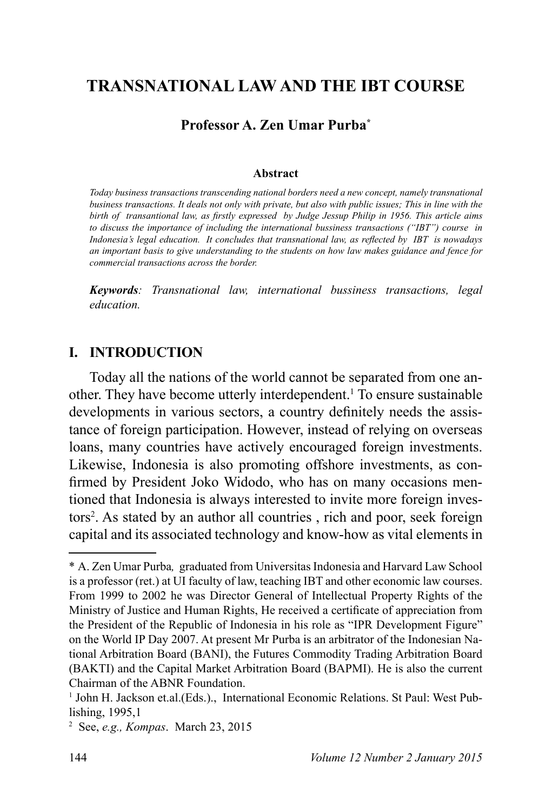# **7RANSNATIONAL LAW AND THE IBT COURSE**

#### **Professor A. Zen Umar Purba\***

#### **Abstract**

*Today business transactions transcending national borders need a new concept, namely transnational business transactions. It deals not only with private, but also with public issues; This in line with the*  birth of transantional law, as firstly expressed by Judge Jessup Philip in 1956. This article aims *to discuss the importance of including the international bussiness transactions ("IBT") course in*  Indonesia's legal education. It concludes that transnational law, as reflected by IBT is nowadays *an important basis to give understanding to the students on how law makes guidance and fence for commercial transactions across the border.*

*.H\ZRUGV: Transnational law, international bussiness transactions, legal education.*

#### **I. INTRODUCTION**

Today all the nations of the world cannot be separated from one another. They have become utterly interdependent.<sup>1</sup> To ensure sustainable developments in various sectors, a country definitely needs the assistance of foreign participation. However, instead of relying on overseas loans, many countries have actively encouraged foreign investments. Likewise, Indonesia is also promoting offshore investments, as confirmed by President Joko Widodo, who has on many occasions mentioned that Indonesia is always interested to invite more foreign investors . As stated by an author all countries , rich and poor, seek foreign capital and its associated technology and know-how as vital elements in

<sup>\*</sup> A. Zen Umar Purba*,* graduated from Universitas Indonesia and Harvard Law School is a professor (ret.) at UI faculty of law, teaching IBT and other economic law courses. From 1999 to 2002 he was Director General of Intellectual Property Rights of the Ministry of Justice and Human Rights, He received a certificate of appreciation from the President of the Republic of Indonesia in his role as "IPR Development Figure" on the World IP Day 2007. At present Mr Purba is an arbitrator of the Indonesian National Arbitration Board (BANI), the Futures Commodity Trading Arbitration Board (BAKTI) and the Capital Market Arbitration Board (BAPMI). He is also the current Chairman of the ABNR Foundation.

<sup>&</sup>lt;sup>1</sup> John H. Jackson et.al.(Eds.)., International Economic Relations. St Paul: West Publishing,  $1995,1$ 

<sup>&</sup>lt;sup>2</sup> See, *e.g., Kompas*. March 23, 2015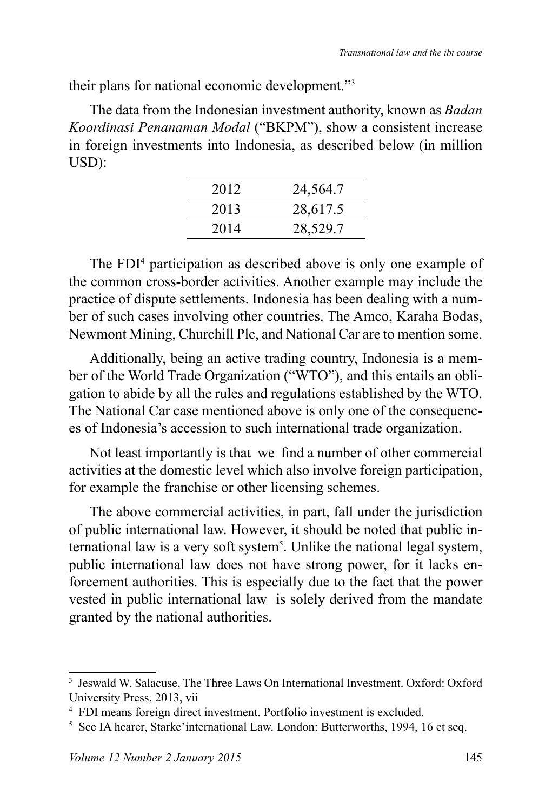their plans for national economic development."<sup>3</sup>

The data from the Indonesian investment authority, known as *Badan Koordinasi Penanaman Modal* ("BKPM"), show a consistent increase in foreign investments into Indonesia, as described below (in million USD):

| 2012 | 24,564.7 |
|------|----------|
| 2013 | 28,617.5 |
| 2014 | 28,529.7 |
|      |          |

The FDI<sup>4</sup> participation as described above is only one example of the common cross-border activities. Another example may include the practice of dispute settlements. Indonesia has been dealing with a number of such cases involving other countries. The Amco, Karaha Bodas, Newmont Mining, Churchill Plc, and National Car are to mention some.

Additionally, being an active trading country, Indonesia is a member of the World Trade Organization ("WTO"), and this entails an obligation to abide by all the rules and regulations established by the WTO. The National Car case mentioned above is only one of the consequences of Indonesia's accession to such international trade organization.

Not least importantly is that we find a number of other commercial activities at the domestic level which also involve foreign participation, for example the franchise or other licensing schemes.

The above commercial activities, in part, fall under the jurisdiction of public international law. However, it should be noted that public international law is a very soft system<sup>5</sup>. Unlike the national legal system, public international law does not have strong power, for it lacks enforcement authorities. This is especially due to the fact that the power vested in public international law is solely derived from the mandate granted by the national authorities.

<sup>3</sup> Jeswald W. Salacuse, The Three Laws On International Investment. Oxford: Oxford University Press, 2013, vii

<sup>4</sup> FDI means foreign direct investment. Portfolio investment is excluded.

<sup>&</sup>lt;sup>5</sup> See IA hearer, Starke' international Law. London: Butterworths, 1994, 16 et seq.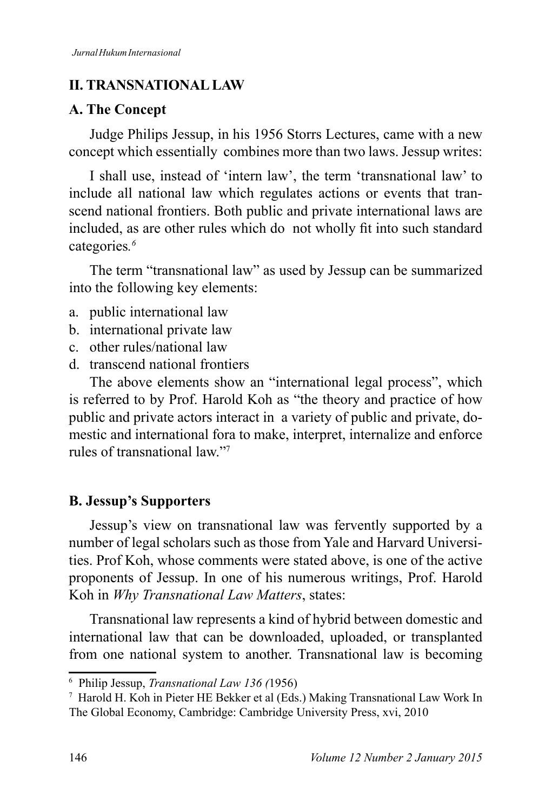#### **II. TRANSNATIONAL LAW**

#### **A. The Concept**

Judge Philips Jessup, in his 1956 Storrs Lectures, came with a new concept which essentially combines more than two laws. Jessup writes:

I shall use, instead of 'intern law', the term 'transnational law' to include all national law which regulates actions or events that transcend national frontiers. Both public and private international laws are included, as are other rules which do not wholly fit into such standard categories*.*

The term "transnational law" as used by Jessup can be summarized into the following key elements:

- a. public international law
- b. international private law
- c. other rules/national law
- d. transcend national frontiers

The above elements show an "international legal process", which is referred to by Prof. Harold Koh as "the theory and practice of how public and private actors interact in a variety of public and private, domestic and international fora to make, interpret, internalize and enforce rules of transnational law"7

# **B. Jessup's Supporters**

Jessup's view on transnational law was fervently supported by a number of legal scholars such as those from Yale and Harvard Universities. Prof Koh, whose comments were stated above, is one of the active proponents of Jessup. In one of his numerous writings, Prof. Harold Koh in *Why Transnational Law Matters*, states:

Transnational law represents a kind of hybrid between domestic and international law that can be downloaded, uploaded, or transplanted from one national system to another. Transnational law is becoming

<sup>&</sup>lt;sup>6</sup> Philip Jessup, *Transnational Law 136 (1956)* 

<sup>7</sup> Harold H. Koh in Pieter HE Bekker et al (Eds.) Making Transnational Law Work In The Global Economy, Cambridge: Cambridge University Press, xvi, 2010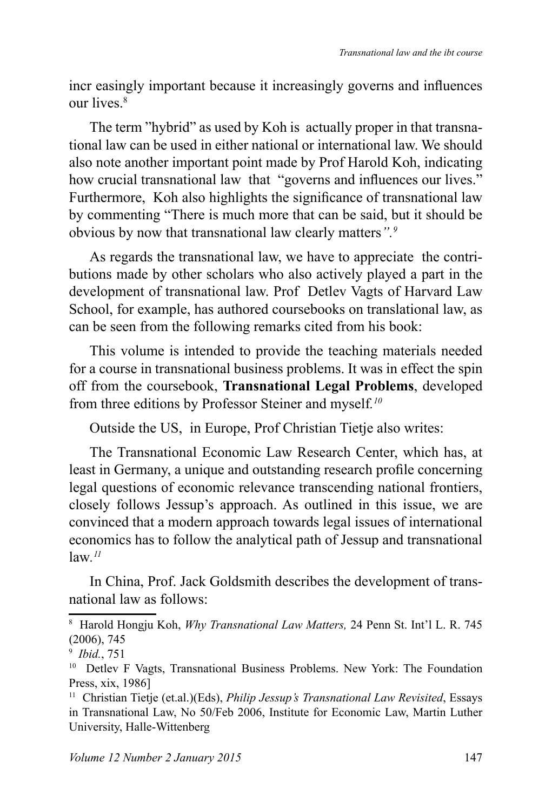incr easingly important because it increasingly governs and influences our lives<sup>8</sup>

The term "hybrid" as used by Koh is actually proper in that transnational law can be used in either national or international law. We should also note another important point made by Prof Harold Koh, indicating how crucial transnational law that "governs and influences our lives." Furthermore. Koh also highlights the significance of transnational law by commenting "There is much more that can be said, but it should be obvious by now that transnational law clearly matters*".*

As regards the transnational law, we have to appreciate the contributions made by other scholars who also actively played a part in the development of transnational law. Prof Detlev Vagts of Harvard Law School, for example, has authored coursebooks on translational law, as can be seen from the following remarks cited from his book:

This volume is intended to provide the teaching materials needed for a course in transnational business problems. It was in effect the spin off from the coursebook, **Transnational Legal Problems**, developed from three editions by Professor Steiner and myself*. 10*

Outside the US, in Europe, Prof Christian Tietje also writes:

The Transnational Economic Law Research Center, which has, at least in Germany, a unique and outstanding research profile concerning legal questions of economic relevance transcending national frontiers, closely follows Jessup's approach. As outlined in this issue, we are convinced that a modern approach towards legal issues of international economics has to follow the analytical path of Jessup and transnational law*. 11*

In China, Prof. Jack Goldsmith describes the development of transnational law as follows:

<sup>&</sup>lt;sup>8</sup> Harold Hongju Koh, *Why Transnational Law Matters*, 24 Penn St. Int'l L. R. 745  $(2006)$ , 745

<sup>9</sup> *Ibid.*

<sup>10</sup> Detlev F Vagts, Transnational Business Problems. New York: The Foundation Press, xix, 1986]

<sup>&</sup>lt;sup>11</sup> Christian Tietje (et.al.)(Eds), *Philip Jessup's Transnational Law Revisited*, Essays in Transnational Law, No 50/Feb 2006, Institute for Economic Law, Martin Luther University, Halle-Wittenberg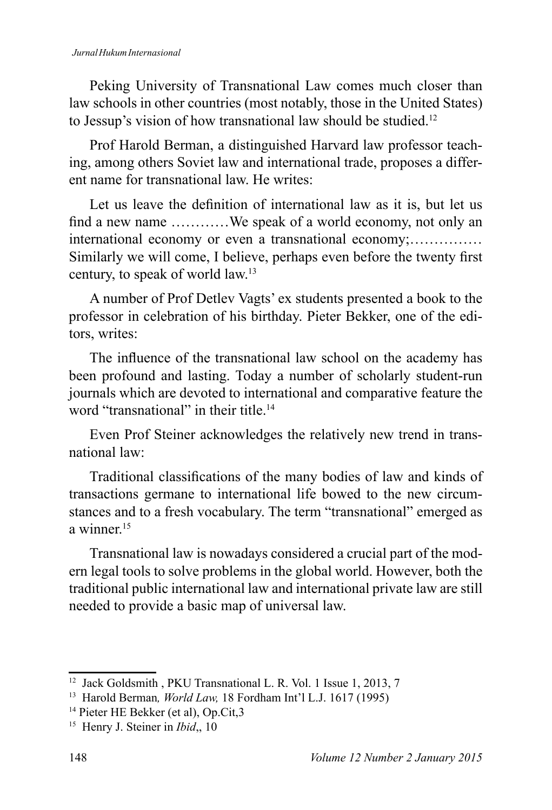#### *Jurnal Hukum Internasional*

Peking University of Transnational Law comes much closer than law schools in other countries (most notably, those in the United States) to Jessup's vision of how transnational law should be studied.<sup>12</sup>

Prof Harold Berman, a distinguished Harvard law professor teaching, among others Soviet law and international trade, proposes a different name for transnational law. He writes:

Let us leave the definition of international law as it is, but let us find a new name  $\dots\dots\dots\dots$  We speak of a world economy, not only an international economy or even a transnational economy:.............. Similarly we will come, I believe, perhaps even before the twenty first century, to speak of world law.<sup>13</sup>

A number of Prof Detlev Vagts' ex students presented a book to the professor in celebration of his birthday. Pieter Bekker, one of the editors, writes:

The influence of the transnational law school on the academy has been profound and lasting. Today a number of scholarly student-run journals which are devoted to international and comparative feature the word "transnational" in their title.<sup>14</sup>

Even Prof Steiner acknowledges the relatively new trend in transnational law:

Traditional classifications of the many bodies of law and kinds of transactions germane to international life bowed to the new circumstances and to a fresh vocabulary. The term "transnational" emerged as a winner $15$ 

Transnational law is nowadays considered a crucial part of the modern legal tools to solve problems in the global world. However, both the traditional public international law and international private law are still needed to provide a basic map of universal law.

 $12$  Jack Goldsmith, PKU Transnational L. R. Vol. 1 Issue 1, 2013, 7

<sup>&</sup>lt;sup>13</sup> Harold Berman, *World Law*, 18 Fordham Int'l L.J. 1617 (1995)

<sup>14</sup> Pieter HE Bekker (et al), Op.Cit,3

<sup>&</sup>lt;sup>15</sup> Henry J. Steiner in *Ibid*, 10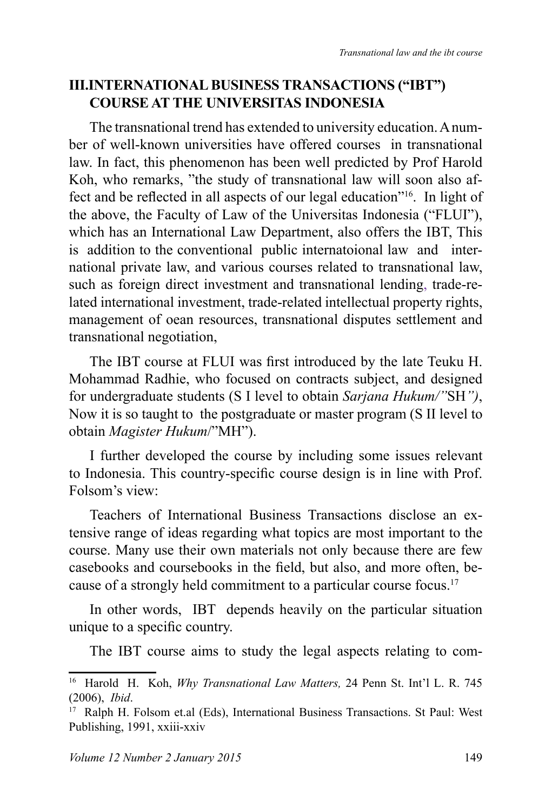#### **III.INTERNATIONAL BUSINESS TRANSACTIONS ("IBT") COURSE AT THE UNIVERSITAS INDONESIA**

The transnational trend has extended to university education. A number of well-known universities have offered courses in transnational law. In fact, this phenomenon has been well predicted by Prof Harold Koh, who remarks, "the study of transnational law will soon also affect and be reflected in all aspects of our legal education"<sup>16</sup>. In light of the above, the Faculty of Law of the Universitas Indonesia ("FLUI"), which has an International Law Department, also offers the IBT, This is addition to the conventional public internatoional law and international private law, and various courses related to transnational law, such as foreign direct investment and transnational lending, trade-related international investment, trade-related intellectual property rights, management of oean resources, transnational disputes settlement and transnational negotiation,

The IBT course at FLUI was first introduced by the late Teuku H. Mohammad Radhie, who focused on contracts subject, and designed for undergraduate students (S I level to obtain *Sarjana Hukum/"*SH*")*, Now it is so taught to the postgraduate or master program (S II level to obtain *Magister Hukum*/"MH").

I further developed the course by including some issues relevant to Indonesia. This country-specific course design is in line with Prof. Folsom's view:

Teachers of International Business Transactions disclose an extensive range of ideas regarding what topics are most important to the course. Many use their own materials not only because there are few casebooks and coursebooks in the field, but also, and more often, because of a strongly held commitment to a particular course focus.<sup>17</sup>

In other words, IBT depends heavily on the particular situation unique to a specific country.

The IBT course aims to study the legal aspects relating to com-

<sup>&</sup>lt;sup>16</sup> Harold H. Koh, *Why Transnational Law Matters*, 24 Penn St. Int'l L. R. 745 *Ibid*.

<sup>&</sup>lt;sup>17</sup> Ralph H. Folsom et.al (Eds), International Business Transactions. St Paul: West Publishing, 1991, xxiii-xxiv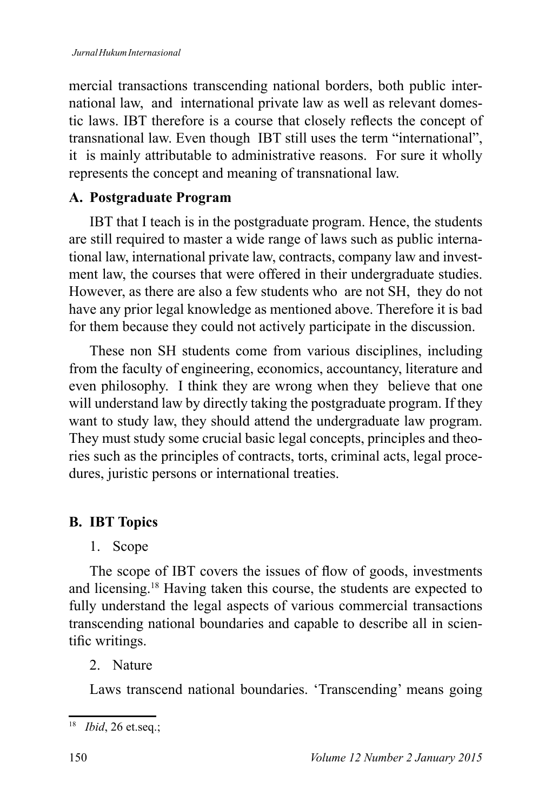mercial transactions transcending national borders, both public international law, and international private law as well as relevant domestic laws. IBT therefore is a course that closely reflects the concept of transnational law. Even though IBT still uses the term "international", it is mainly attributable to administrative reasons. For sure it wholly represents the concept and meaning of transnational law.

# A. Postgraduate Program

IBT that I teach is in the postgraduate program. Hence, the students are still required to master a wide range of laws such as public international law, international private law, contracts, company law and investment law, the courses that were offered in their undergraduate studies. However, as there are also a few students who are not SH, they do not have any prior legal knowledge as mentioned above. Therefore it is bad for them because they could not actively participate in the discussion.

These non SH students come from various disciplines, including from the faculty of engineering, economics, accountancy, literature and even philosophy. I think they are wrong when they believe that one will understand law by directly taking the postgraduate program. If they want to study law, they should attend the undergraduate law program. They must study some crucial basic legal concepts, principles and theories such as the principles of contracts, torts, criminal acts, legal procedures, juristic persons or international treaties.

# **B.** IBT Topics

1. Scope

The scope of IBT covers the issues of flow of goods, investments and licensing.<sup>18</sup> Having taken this course, the students are expected to fully understand the legal aspects of various commercial transactions transcending national boundaries and capable to describe all in scientific writings.

# 2 Nature

Laws transcend national boundaries. 'Transcending' means going

<sup>&</sup>lt;sup>18</sup> *Ibid*, 26 et.seq.;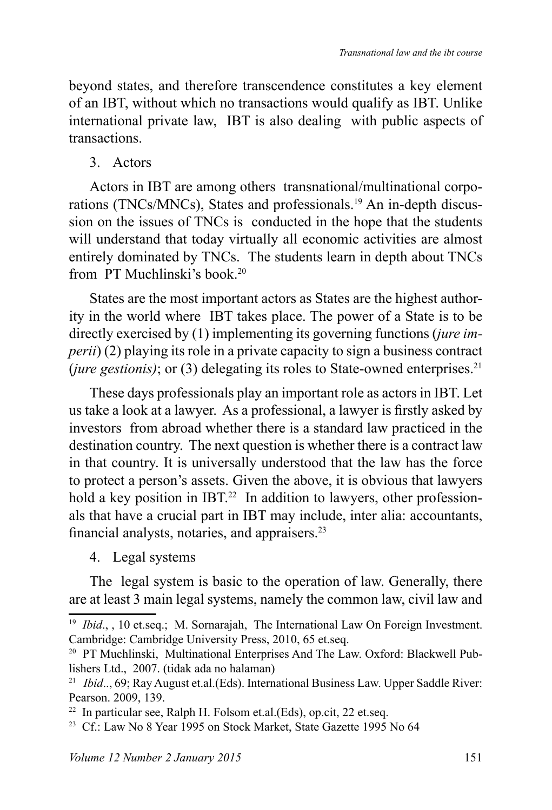beyond states, and therefore transcendence constitutes a key element of an IBT, without which no transactions would qualify as IBT. Unlike international private law, IBT is also dealing with public aspects of transactions.

3. Actors

Actors in IBT are among others transnational/multinational corporations (TNCs/MNCs), States and professionals.<sup>19</sup> An in-depth discussion on the issues of TNCs is conducted in the hope that the students will understand that today virtually all economic activities are almost entirely dominated by TNCs. The students learn in depth about TNCs from PT Muchlinski's book.

States are the most important actors as States are the highest authority in the world where IBT takes place. The power of a State is to be directly exercised by (1) implementing its governing functions (*jure imperii*) (2) playing its role in a private capacity to sign a business contract (*jure gestionis*); or (3) delegating its roles to State-owned enterprises.<sup>21</sup>

These days professionals play an important role as actors in IBT. Let us take a look at a lawyer. As a professional, a lawyer is firstly asked by investors from abroad whether there is a standard law practiced in the destination country. The next question is whether there is a contract law in that country. It is universally understood that the law has the force to protect a person's assets. Given the above, it is obvious that lawyers hold a key position in IBT.<sup>22</sup> In addition to lawyers, other professionals that have a crucial part in IBT may include, inter alia: accountants, financial analysts, notaries, and appraisers. $23$ 

4. Legal systems

The legal system is basic to the operation of law. Generally, there are at least 3 main legal systems, namely the common law, civil law and

<sup>&</sup>lt;sup>19</sup> *Ibid.*, , 10 et.seq.; M. Sornarajah, The International Law On Foreign Investment. Cambridge: Cambridge University Press, 2010, 65 et.seq.

<sup>&</sup>lt;sup>20</sup> PT Muchlinski, Multinational Enterprises And The Law. Oxford: Blackwell Publishers Ltd., 2007. (tidak ada no halaman)

<sup>&</sup>lt;sup>21</sup> *Ibid..,* 69; Ray August et.al.(Eds). International Business Law. Upper Saddle River: Pearson. 2009, 139.

 $22$  In particular see, Ralph H. Folsom et.al. (Eds), op.cit, 22 et.seq.

<sup>&</sup>lt;sup>23</sup> Cf.: Law No 8 Year 1995 on Stock Market, State Gazette 1995 No 64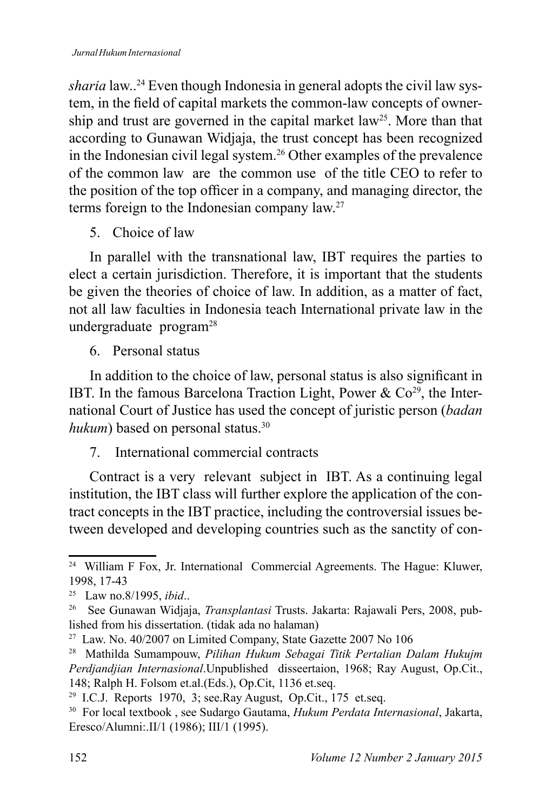*sharia* law..<sup>24</sup> Even though Indonesia in general adopts the civil law system, in the field of capital markets the common-law concepts of ownership and trust are governed in the capital market law<sup>25</sup>. More than that according to Gunawan Widjaja, the trust concept has been recognized in the Indonesian civil legal system.<sup>26</sup> Other examples of the prevalence of the common law are the common use of the title CEO to refer to the position of the top officer in a company, and managing director, the terms foreign to the Indonesian company law.

5 Choice of law

In parallel with the transnational law, IBT requires the parties to elect a certain jurisdiction. Therefore, it is important that the students be given the theories of choice of law. In addition, as a matter of fact, not all law faculties in Indonesia teach International private law in the undergraduate program

6 Personal status

In addition to the choice of law, personal status is also significant in IBT. In the famous Barcelona Traction Light, Power &  $Co<sup>29</sup>$ , the International Court of Justice has used the concept of juristic person (*badan hukum*) based on personal status.<sup>30</sup>

# 7. International commercial contracts

Contract is a very relevant subject in IBT. As a continuing legal institution, the IBT class will further explore the application of the contract concepts in the IBT practice, including the controversial issues between developed and developing countries such as the sanctity of con-

<sup>&</sup>lt;sup>24</sup> William F Fox, Jr. International Commercial Agreements. The Hague: Kluwer, 1998. 17-43

<sup>&</sup>lt;sup>25</sup> Law no.8/1995, *ibid..* 

<sup>&</sup>lt;sup>26</sup> See Gunawan Widjaja, *Transplantasi* Trusts. Jakarta: Rajawali Pers, 2008, published from his dissertation. (tidak ada no halaman)

<sup>&</sup>lt;sup>27</sup> Law. No. 40/2007 on Limited Company, State Gazette 2007 No 106

<sup>&</sup>lt;sup>28</sup> Mathilda Sumampouw, *Pilihan Hukum Sebagai Titik Pertalian Dalam Hukujm Perdjandjian Internasional*.Unpublished disseertaion, 1968; Ray August, Op.Cit., 148; Ralph H. Folsom et.al.(Eds.), Op.Cit, 1136 et.seq.

<sup>&</sup>lt;sup>29</sup> I.C.J. Reports 1970, 3; see.Ray August, Op.Cit., 175 et.seq.

<sup>&</sup>lt;sup>30</sup> For local textbook, see Sudargo Gautama, *Hukum Perdata Internasional*, Jakarta, Eresco/Alumni:.II/1 (1986); III/1 (1995).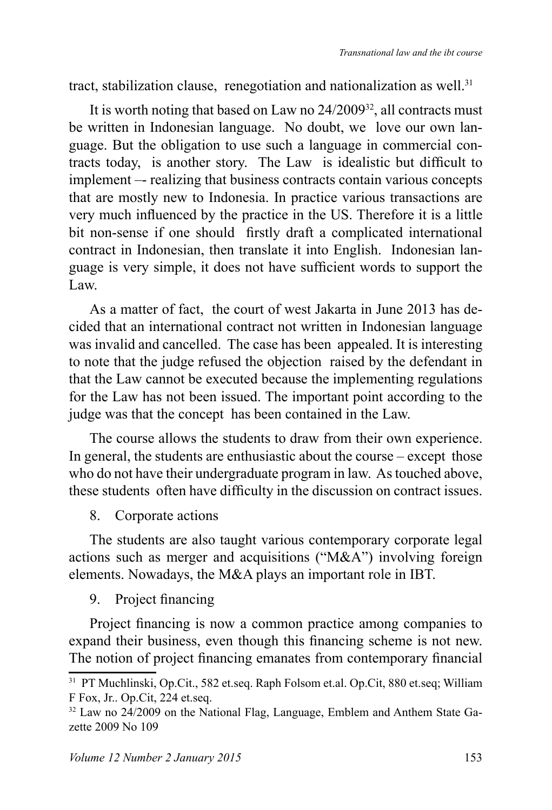tract, stabilization clause, renegotiation and nationalization as well. $31$ 

It is worth noting that based on Law no  $24/2009^{32}$ , all contracts must be written in Indonesian language. No doubt, we love our own language. But the obligation to use such a language in commercial contracts today, is another story. The Law is idealistic but difficult to implement –- realizing that business contracts contain various concepts that are mostly new to Indonesia. In practice various transactions are very much influenced by the practice in the US. Therefore it is a little bit non-sense if one should firstly draft a complicated international contract in Indonesian, then translate it into English. Indonesian language is very simple, it does not have sufficient words to support the  $L$ aw.

As a matter of fact, the court of west Jakarta in June 2013 has decided that an international contract not written in Indonesian language was invalid and cancelled. The case has been appealed. It is interesting to note that the judge refused the objection raised by the defendant in that the Law cannot be executed because the implementing regulations for the Law has not been issued. The important point according to the judge was that the concept has been contained in the Law.

The course allows the students to draw from their own experience. In general, the students are enthusiastic about the course – except those who do not have their undergraduate program in law. As touched above, these students often have difficulty in the discussion on contract issues.

8. Corporate actions

The students are also taught various contemporary corporate legal actions such as merger and acquisitions ("M&A") involving foreign elements. Nowadays, the M&A plays an important role in IBT.

9. Project financing

Project financing is now a common practice among companies to expand their business, even though this financing scheme is not new. The notion of project financing emanates from contemporary financial

<sup>&</sup>lt;sup>31</sup> PT Muchlinski, Op.Cit., 582 et.seq. Raph Folsom et.al. Op.Cit, 880 et.seq; William F Fox, Jr., Op.Cit, 224 et.seq.

<sup>&</sup>lt;sup>32</sup> Law no 24/2009 on the National Flag, Language, Emblem and Anthem State Gazette  $2009$  No  $109$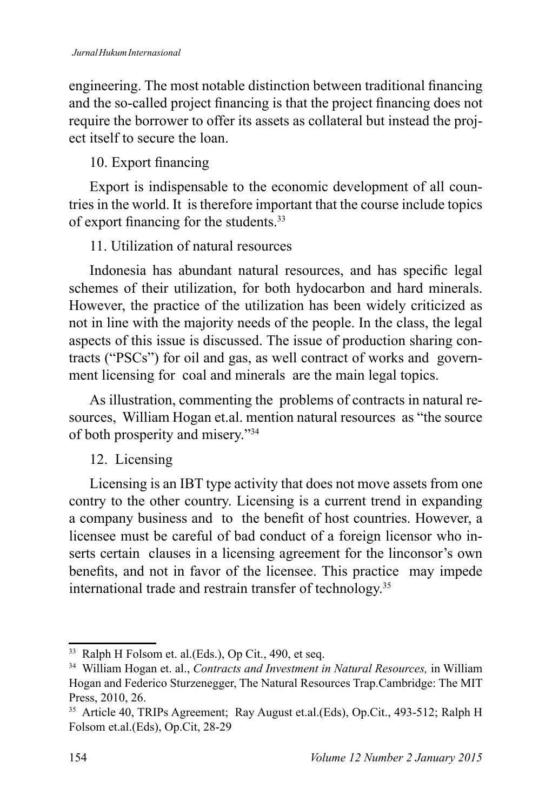engineering. The most notable distinction between traditional financing and the so-called project financing is that the project financing does not require the borrower to offer its assets as collateral but instead the project itself to secure the loan.

10. Export financing

Export is indispensable to the economic development of all countries in the world. It is therefore important that the course include topics of export financing for the students. $33$ 

# 11. Utilization of natural resources

Indonesia has abundant natural resources, and has specific legal schemes of their utilization, for both hydocarbon and hard minerals. However, the practice of the utilization has been widely criticized as not in line with the majority needs of the people. In the class, the legal aspects of this issue is discussed. The issue of production sharing contracts ("PSCs") for oil and gas, as well contract of works and government licensing for coal and minerals are the main legal topics.

As illustration, commenting the problems of contracts in natural resources, William Hogan et.al. mention natural resources as "the source of both prosperity and misery."<sup>34</sup>

# 12. Licensing

Licensing is an IBT type activity that does not move assets from one contry to the other country. Licensing is a current trend in expanding a company business and to the benefit of host countries. However, a licensee must be careful of bad conduct of a foreign licensor who inserts certain clauses in a licensing agreement for the linconsor's own benefits, and not in favor of the licensee. This practice may impede international trade and restrain transfer of technology.<sup>35</sup>

<sup>33</sup> Ralph H Folsom et. al.(Eds.), Op Cit., 490, et seq.

<sup>&</sup>lt;sup>34</sup> William Hogan et. al., *Contracts and Investment in Natural Resources*, in William Hogan and Federico Sturzenegger, The Natural Resources Trap.Cambridge: The MIT Press, 2010, 26.

<sup>&</sup>lt;sup>35</sup> Article 40, TRIPs Agreement; Ray August et.al.(Eds), Op.Cit., 493-512; Ralph H Folsom et.al.(Eds), Op.Cit, 28-29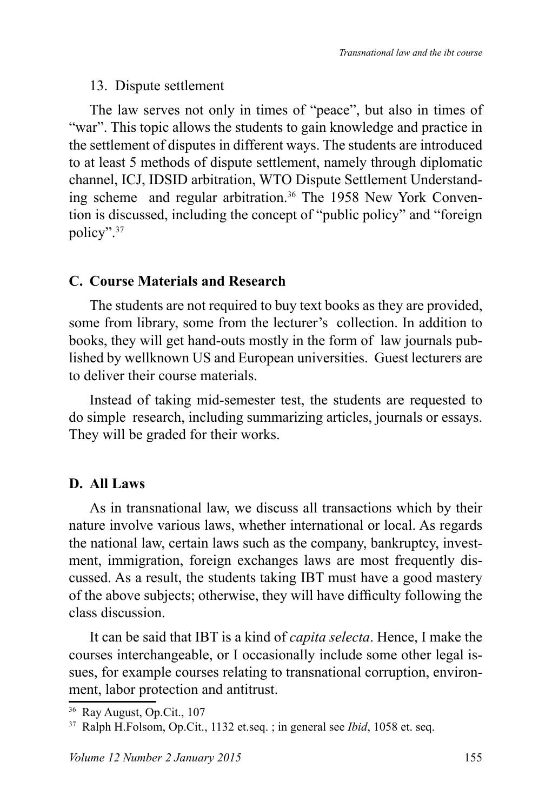#### 13. Dispute settlement

The law serves not only in times of "peace", but also in times of "war". This topic allows the students to gain knowledge and practice in the settlement of disputes in different ways. The students are introduced to at least 5 methods of dispute settlement, namely through diplomatic channel, ICJ, IDSID arbitration, WTO Dispute Settlement Understanding scheme and regular arbitration.<sup>36</sup> The 1958 New York Convention is discussed, including the concept of "public policy" and "foreign policy".<sup>37</sup>

# **C. Course Materials and Research**

The students are not required to buy text books as they are provided, some from library, some from the lecturer's collection. In addition to books, they will get hand-outs mostly in the form of law journals published by wellknown US and European universities. Guest lecturers are to deliver their course materials.

Instead of taking mid-semester test, the students are requested to do simple research, including summarizing articles, journals or essays. They will be graded for their works.

# **D.** All Laws

As in transnational law, we discuss all transactions which by their nature involve various laws, whether international or local. As regards the national law, certain laws such as the company, bankruptcy, investment, immigration, foreign exchanges laws are most frequently discussed. As a result, the students taking IBT must have a good mastery of the above subjects; otherwise, they will have difficulty following the class discussion.

It can be said that IBT is a kind of *capita selecta*. Hence, I make the courses interchangeable, or I occasionally include some other legal issues, for example courses relating to transnational corruption, environment, labor protection and antitrust.

<sup>&</sup>lt;sup>36</sup> Ray August, Op.Cit., 107

<sup>&</sup>lt;sup>37</sup> Ralph H.Folsom, Op.Cit., 1132 et.seq.; in general see *Ibid*, 1058 et. seq.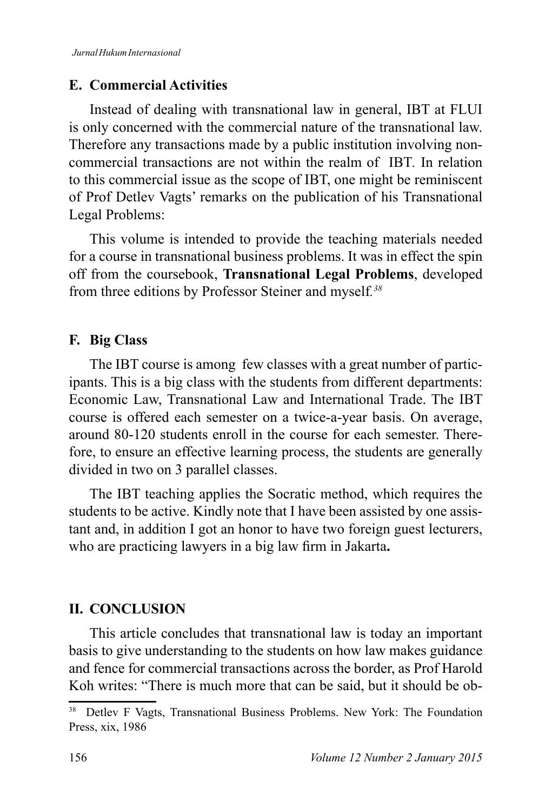#### **E. Commercial Activities**

Instead of dealing with transnational law in general, IBT at FLUI is only concerned with the commercial nature of the transnational law. Therefore any transactions made by a public institution involving noncommercial transactions are not within the realm of IBT*.* In relation to this commercial issue as the scope of IBT, one might be reminiscent of Prof Detlev Vagts' remarks on the publication of his Transnational Legal Problems:

This volume is intended to provide the teaching materials needed for a course in transnational business problems. It was in effect the spin off from the coursebook, **Transnational Legal Problems**, developed from three editions by Professor Steiner and myself*. 38*

#### **F.** Big Class

The IBT course is among few classes with a great number of participants. This is a big class with the students from different departments: Economic Law, Transnational Law and International Trade. The IBT course is offered each semester on a twice-a-year basis. On average, around 80-120 students enroll in the course for each semester. Therefore, to ensure an effective learning process, the students are generally divided in two on 3 parallel classes.

The IBT teaching applies the Socratic method, which requires the students to be active. Kindly note that I have been assisted by one assistant and, in addition I got an honor to have two foreign guest lecturers, who are practicing lawyers in a big law firm in Jakarta.

# **II. CONCLUSION**

This article concludes that transnational law is today an important basis to give understanding to the students on how law makes guidance and fence for commercial transactions across the border, as Prof Harold Koh writes: "There is much more that can be said, but it should be ob-

Detlev F Vagts, Transnational Business Problems. New York: The Foundation Press, xix, 1986